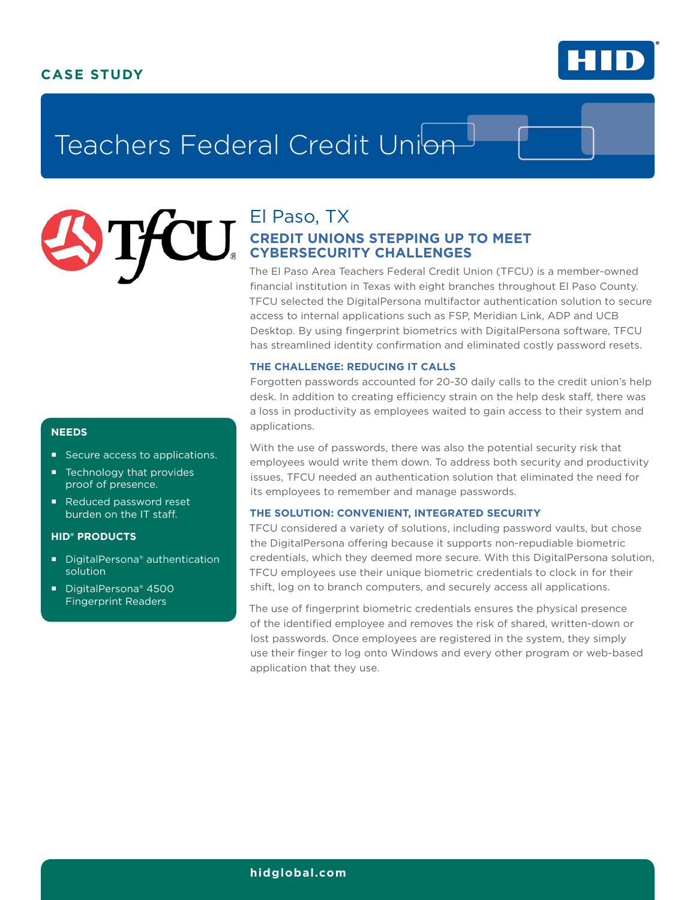# **CASE STUDY**



# Teachers Federal Credit Union

# El Paso, TX **CREDIT UNIONS STEPPING UP TO MEET CYBERSECURITY CHALLENGES**

The El Paso Area Teachers Federal Credit Union (TFCU) is a member-owned financial institution in Texas with eight branches throughout El Paso County. TFCU selected the DigitalPersona multifactor authentication solution to secure access to internal applications such as FSP, Meridian Link, ADP and UCB Desktop. By using fingerprint biometrics with DigitalPersona software, TFCU has streamlined identity confirmation and eliminated costly password resets.

## **THE CHALLENGE: REDUCING IT CALLS**

Forgotten passwords accounted for 20-30 daily calls to the credit union's help desk. In addition to creating efficiency strain on the help desk staff, there was a loss in productivity as employees waited to gain access to their system and applications.

With the use of passwords, there was also the potential security risk that employees would write them down. To address both security and productivity issues, TFCU needed an authentication solution that eliminated the need for its employees to remember and manage passwords.

# **THE SOLUTION: CONVENIENT, INTEGRATED SECURITY**

TFCU considered a variety of solutions, including password vaults, but chose the DigitalPersona offering because it supports non-repudiable biometric credentials, which they deemed more secure. With this DigitalPersona solution, TFCU employees use their unique biometric credentials to clock in for their shift, log on to branch computers, and securely access all applications.

The use of fingerprint biometric credentials ensures the physical presence of the identified employee and removes the risk of shared, written-down or lost passwords. Once employees are registered in the system, they simply use their finger to log onto Windows and every other program or web-based application that they use.

# **NEEDS**

- Secure access to applications.
- Technology that provides proof of presence.
- Reduced password reset burden on the IT staff.

# **HID® PRODUCTS**

- DigitalPersona<sup>®</sup> authentication solution
- DigitalPersona® 4500 Fingerprint Readers